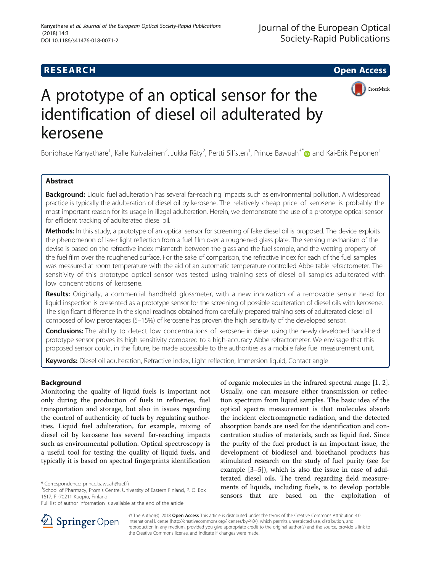## **RESEARCH CHE Open Access**



# A prototype of an optical sensor for the identification of diesel oil adulterated by kerosene

Boniphace Kanyathare<sup>1</sup>, Kalle Kuivalainen<sup>2</sup>, Jukka Räty<sup>2</sup>, Pertti Silfsten<sup>1</sup>, Prince Bawuah<sup>3\*</sup> and Kai-Erik Peiponen<sup>1</sup>

## Abstract

Background: Liquid fuel adulteration has several far-reaching impacts such as environmental pollution. A widespread practice is typically the adulteration of diesel oil by kerosene. The relatively cheap price of kerosene is probably the most important reason for its usage in illegal adulteration. Herein, we demonstrate the use of a prototype optical sensor for efficient tracking of adulterated diesel oil.

Methods: In this study, a prototype of an optical sensor for screening of fake diesel oil is proposed. The device exploits the phenomenon of laser light reflection from a fuel film over a roughened glass plate. The sensing mechanism of the devise is based on the refractive index mismatch between the glass and the fuel sample, and the wetting property of the fuel film over the roughened surface. For the sake of comparison, the refractive index for each of the fuel samples was measured at room temperature with the aid of an automatic temperature controlled Abbe table refractometer. The sensitivity of this prototype optical sensor was tested using training sets of diesel oil samples adulterated with low concentrations of kerosene.

Results: Originally, a commercial handheld glossmeter, with a new innovation of a removable sensor head for liquid inspection is presented as a prototype sensor for the screening of possible adulteration of diesel oils with kerosene. The significant difference in the signal readings obtained from carefully prepared training sets of adulterated diesel oil composed of low percentages (5–15%) of kerosene has proven the high sensitivity of the developed sensor.

Conclusions: The ability to detect low concentrations of kerosene in diesel using the newly developed hand-held prototype sensor proves its high sensitivity compared to a high-accuracy Abbe refractometer. We envisage that this proposed sensor could, in the future, be made accessible to the authorities as a mobile fake fuel measurement unit.

Keywords: Diesel oil adulteration, Refractive index, Light reflection, Immersion liquid, Contact angle

## Background

Monitoring the quality of liquid fuels is important not only during the production of fuels in refineries, fuel transportation and storage, but also in issues regarding the control of authenticity of fuels by regulating authorities. Liquid fuel adulteration, for example, mixing of diesel oil by kerosene has several far-reaching impacts such as environmental pollution. Optical spectroscopy is a useful tool for testing the quality of liquid fuels, and typically it is based on spectral fingerprints identification

of organic molecules in the infrared spectral range [\[1](#page-5-0), [2](#page-5-0)]. Usually, one can measure either transmission or reflection spectrum from liquid samples. The basic idea of the optical spectra measurement is that molecules absorb the incident electromagnetic radiation, and the detected absorption bands are used for the identification and concentration studies of materials, such as liquid fuel. Since the purity of the fuel product is an important issue, the development of biodiesel and bioethanol products has stimulated research on the study of fuel purity (see for example [[3](#page-5-0)–[5](#page-5-0)]), which is also the issue in case of adulterated diesel oils. The trend regarding field measurements of liquids, including fuels, is to develop portable sensors that are based on the exploitation of



© The Author(s). 2018 Open Access This article is distributed under the terms of the Creative Commons Attribution 4.0 International License ([http://creativecommons.org/licenses/by/4.0/\)](http://creativecommons.org/licenses/by/4.0/), which permits unrestricted use, distribution, and reproduction in any medium, provided you give appropriate credit to the original author(s) and the source, provide a link to the Creative Commons license, and indicate if changes were made.

<sup>\*</sup> Correspondence: [prince.bawuah@uef.fi](mailto:prince.bawuah@uef.fi) <sup>3</sup>

<sup>&</sup>lt;sup>3</sup>School of Pharmacy, Promis Centre, University of Eastern Finland, P. O. Box 1617, FI-70211 Kuopio, Finland

Full list of author information is available at the end of the article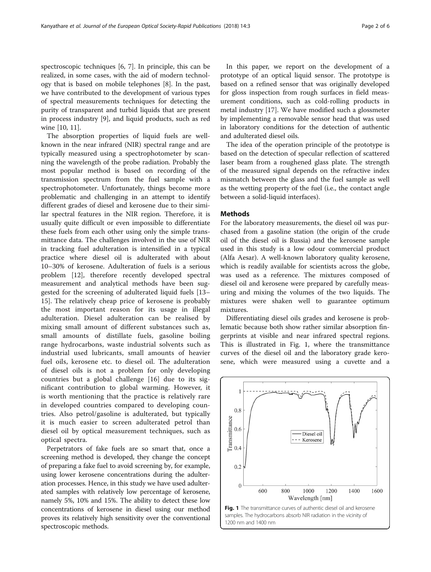spectroscopic techniques [\[6](#page-5-0), [7\]](#page-5-0). In principle, this can be realized, in some cases, with the aid of modern technology that is based on mobile telephones [\[8](#page-5-0)]. In the past, we have contributed to the development of various types of spectral measurements techniques for detecting the purity of transparent and turbid liquids that are present in process industry [\[9](#page-5-0)], and liquid products, such as red wine [\[10, 11\]](#page-5-0).

The absorption properties of liquid fuels are wellknown in the near infrared (NIR) spectral range and are typically measured using a spectrophotometer by scanning the wavelength of the probe radiation. Probably the most popular method is based on recording of the transmission spectrum from the fuel sample with a spectrophotometer. Unfortunately, things become more problematic and challenging in an attempt to identify different grades of diesel and kerosene due to their similar spectral features in the NIR region. Therefore, it is usually quite difficult or even impossible to differentiate these fuels from each other using only the simple transmittance data. The challenges involved in the use of NIR in tracking fuel adulteration is intensified in a typical practice where diesel oil is adulterated with about 10–30% of kerosene. Adulteration of fuels is a serious problem [[12\]](#page-5-0), therefore recently developed spectral measurement and analytical methods have been suggested for the screening of adulterated liquid fuels [[13](#page-5-0)– [15\]](#page-5-0). The relatively cheap price of kerosene is probably the most important reason for its usage in illegal adulteration. Diesel adulteration can be realised by mixing small amount of different substances such as, small amounts of distillate fuels, gasoline boiling range hydrocarbons, waste industrial solvents such as industrial used lubricants, small amounts of heavier fuel oils, kerosene etc. to diesel oil. The adulteration of diesel oils is not a problem for only developing countries but a global challenge [[16\]](#page-5-0) due to its significant contribution to global warming. However, it is worth mentioning that the practice is relatively rare in developed countries compared to developing countries. Also petrol/gasoline is adulterated, but typically it is much easier to screen adulterated petrol than diesel oil by optical measurement techniques, such as optical spectra.

Perpetrators of fake fuels are so smart that, once a screening method is developed, they change the concept of preparing a fake fuel to avoid screening by, for example, using lower kerosene concentrations during the adulteration processes. Hence, in this study we have used adulterated samples with relatively low percentage of kerosene, namely 5%, 10% and 15%. The ability to detect these low concentrations of kerosene in diesel using our method proves its relatively high sensitivity over the conventional spectroscopic methods.

In this paper, we report on the development of a prototype of an optical liquid sensor. The prototype is based on a refined sensor that was originally developed for gloss inspection from rough surfaces in field measurement conditions, such as cold-rolling products in metal industry [[17\]](#page-5-0). We have modified such a glossmeter by implementing a removable sensor head that was used in laboratory conditions for the detection of authentic and adulterated diesel oils.

The idea of the operation principle of the prototype is based on the detection of specular reflection of scattered laser beam from a roughened glass plate. The strength of the measured signal depends on the refractive index mismatch between the glass and the fuel sample as well as the wetting property of the fuel (i.e., the contact angle between a solid-liquid interfaces).

#### **Methods**

For the laboratory measurements, the diesel oil was purchased from a gasoline station (the origin of the crude oil of the diesel oil is Russia) and the kerosene sample used in this study is a low odour commercial product (Alfa Aesar). A well-known laboratory quality kerosene, which is readily available for scientists across the globe, was used as a reference. The mixtures composed of diesel oil and kerosene were prepared by carefully measuring and mixing the volumes of the two liquids. The mixtures were shaken well to guarantee optimum mixtures.

Differentiating diesel oils grades and kerosene is problematic because both show rather similar absorption fingerprints at visible and near infrared spectral regions. This is illustrated in Fig. 1, where the transmittance curves of the diesel oil and the laboratory grade kerosene, which were measured using a cuvette and a

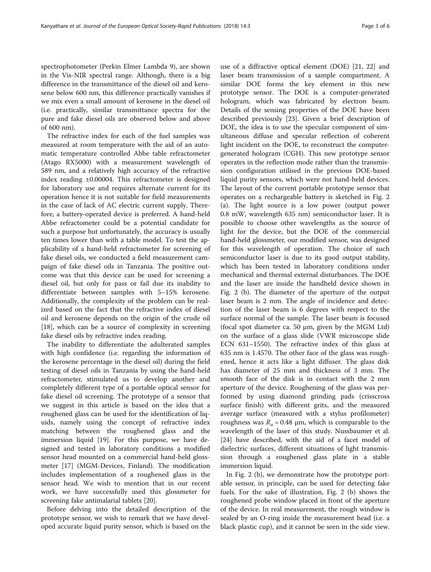spectrophotometer (Perkin Elmer Lambda 9), are shown in the Vis-NIR spectral range. Although, there is a big difference in the transmittance of the diesel oil and kerosene below 600 nm, this difference practically vanishes if we mix even a small amount of kerosene in the diesel oil (i.e. practically, similar transmittance spectra for the pure and fake diesel oils are observed below and above of 600 nm).

The refractive index for each of the fuel samples was measured at room temperature with the aid of an automatic temperature controlled Abbe table refractometer (Atago RX5000) with a measurement wavelength of 589 nm, and a relatively high accuracy of the refractive index reading ±0.00004. This refractometer is designed for laboratory use and requires alternate current for its operation hence it is not suitable for field measurements in the case of lack of AC electric current supply. Therefore, a battery-operated device is preferred. A hand-held Abbe refractometer could be a potential candidate for such a purpose but unfortunately, the accuracy is usually ten times lower than with a table model. To test the applicability of a hand-held refractometer for screening of fake diesel oils, we conducted a field measurement campaign of fake diesel oils in Tanzania. The positive outcome was that this device can be used for screening a diesel oil, but only for pass or fail due its inability to differentiate between samples with 5–15% kerosene. Additionally, the complexity of the problem can be realized based on the fact that the refractive index of diesel oil and kerosene depends on the origin of the crude oil [[18\]](#page-5-0), which can be a source of complexity in screening fake diesel oils by refractive index reading.

The inability to differentiate the adulterated samples with high confidence (i.e. regarding the information of the kerosene percentage in the diesel oil) during the field testing of diesel oils in Tanzania by using the hand-held refractometer, stimulated us to develop another and completely different type of a portable optical sensor for fake diesel oil screening. The prototype of a sensor that we suggest in this article is based on the idea that a roughened glass can be used for the identification of liquids, namely using the concept of refractive index matching between the roughened glass and the immersion liquid [[19](#page-5-0)]. For this purpose, we have designed and tested in laboratory conditions a modified sensor head mounted on a commercial hand-held glossmeter [[17](#page-5-0)] (MGM-Devices, Finland). The modification includes implementation of a roughened glass in the sensor head. We wish to mention that in our recent work, we have successfully used this glossmeter for screening fake antimalarial tablets [[20\]](#page-5-0).

Before delving into the detailed description of the prototype sensor, we wish to remark that we have developed accurate liquid purity sensor, which is based on the

use of a diffractive optical element (DOE) [\[21](#page-5-0), [22](#page-5-0)] and laser beam transmission of a sample compartment. A similar DOE forms the key element in this new prototype sensor. The DOE is a computer-generated hologram, which was fabricated by electron beam. Details of the sensing properties of the DOE have been described previously [\[23\]](#page-5-0). Given a brief description of DOE, the idea is to use the specular component of simultaneous diffuse and specular reflection of coherent light incident on the DOE, to reconstruct the computergenerated hologram (CGH). This new prototype sensor operates in the reflection mode rather than the transmission configuration utilised in the previous DOE-based liquid purity sensors, which were not hand-held devices. The layout of the current portable prototype sensor that operates on a rechargeable battery is sketched in Fig. [2](#page-3-0) (a). The light source is a low power (output power 0.8 mW, wavelength 635 nm) semiconductor laser. It is possible to choose other wavelengths as the source of light for the device, but the DOE of the commercial hand-held glossmeter, our modified sensor, was designed for this wavelength of operation. The choice of such semiconductor laser is due to its good output stability, which has been tested in laboratory conditions under mechanical and thermal external disturbances. The DOE and the laser are inside the handheld device shown in Fig. [2](#page-3-0) (b). The diameter of the aperture of the output laser beam is 2 mm. The angle of incidence and detection of the laser beam is 6 degrees with respect to the surface normal of the sample. The laser beam is focused (focal spot diameter ca. 50 μm, given by the MGM Ltd) on the surface of a glass slide (VWR microscope slide ECN 631–1550). The refractive index of this glass at 635 nm is 1.4570. The other face of the glass was roughened, hence it acts like a light diffuser. The glass disk has diameter of 25 mm and thickness of 3 mm. The smooth face of the disk is in contact with the 2 mm aperture of the device. Roughening of the glass was performed by using diamond grinding pads (crisscross surface finish) with different grits, and the measured average surface (measured with a stylus profilometer) roughness was  $R_a = 0.48$  µm, which is comparable to the wavelength of the laser of this study. Nussbaumer et al. [[24\]](#page-5-0) have described, with the aid of a facet model of dielectric surfaces, different situations of light transmission through a roughened glass plate in a stable immersion liquid.

In Fig. [2](#page-3-0) (b), we demonstrate how the prototype portable sensor, in principle, can be used for detecting fake fuels. For the sake of illustration, Fig. [2](#page-3-0) (b) shows the roughened probe window placed in front of the aperture of the device. In real measurement, the rough window is sealed by an O-ring inside the measurement head (i.e. a black plastic cup), and it cannot be seen in the side view.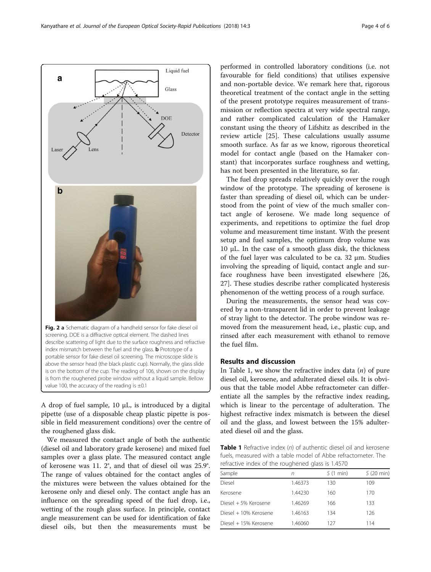<span id="page-3-0"></span>

A drop of fuel sample, 10 μL, is introduced by a digital pipette (use of a disposable cheap plastic pipette is possible in field measurement conditions) over the centre of the roughened glass disk.

We measured the contact angle of both the authentic (diesel oil and laboratory grade kerosene) and mixed fuel samples over a glass plate. The measured contact angle of kerosene was 11. 2°, and that of diesel oil was 25.9°. The range of values obtained for the contact angles of the mixtures were between the values obtained for the kerosene only and diesel only. The contact angle has an influence on the spreading speed of the fuel drop, i.e., wetting of the rough glass surface. In principle, contact angle measurement can be used for identification of fake diesel oils, but then the measurements must be

performed in controlled laboratory conditions (i.e. not favourable for field conditions) that utilises expensive and non-portable device. We remark here that, rigorous theoretical treatment of the contact angle in the setting of the present prototype requires measurement of transmission or reflection spectra at very wide spectral range, and rather complicated calculation of the Hamaker constant using the theory of Lifshitz as described in the review article [[25](#page-5-0)]. These calculations usually assume smooth surface. As far as we know, rigorous theoretical model for contact angle (based on the Hamaker constant) that incorporates surface roughness and wetting, has not been presented in the literature, so far.

The fuel drop spreads relatively quickly over the rough window of the prototype. The spreading of kerosene is faster than spreading of diesel oil, which can be understood from the point of view of the much smaller contact angle of kerosene. We made long sequence of experiments, and repetitions to optimize the fuel drop volume and measurement time instant. With the present setup and fuel samples, the optimum drop volume was 10 μL. In the case of a smooth glass disk, the thickness of the fuel layer was calculated to be ca. 32 μm. Studies involving the spreading of liquid, contact angle and surface roughness have been investigated elsewhere [[26](#page-5-0), [27\]](#page-5-0). These studies describe rather complicated hysteresis phenomenon of the wetting process of a rough surface.

During the measurements, the sensor head was covered by a non-transparent lid in order to prevent leakage of stray light to the detector. The probe window was removed from the measurement head, i.e., plastic cup, and rinsed after each measurement with ethanol to remove the fuel film.

### Results and discussion

In Table 1, we show the refractive index data  $(n)$  of pure diesel oil, kerosene, and adulterated diesel oils. It is obvious that the table model Abbe refractometer can differentiate all the samples by the refractive index reading, which is linear to the percentage of adulteration. The highest refractive index mismatch is between the diesel oil and the glass, and lowest between the 15% adulterated diesel oil and the glass.

**Table 1** Refractive index (n) of authentic diesel oil and kerosene fuels, measured with a table model of Abbe refractometer. The refractive index of the roughened glass is 1.4570

| Sample                | n       | S(1 min) | S(20 min) |
|-----------------------|---------|----------|-----------|
| Diesel                | 1.46373 | 130      | 109       |
| Kerosene              | 1.44230 | 160      | 170       |
| Diesel + 5% Kerosene  | 1.46269 | 166      | 133       |
| Diesel + 10% Kerosene | 1.46163 | 134      | 126       |
| Diesel + 15% Kerosene | 1.46060 | 127      | 114       |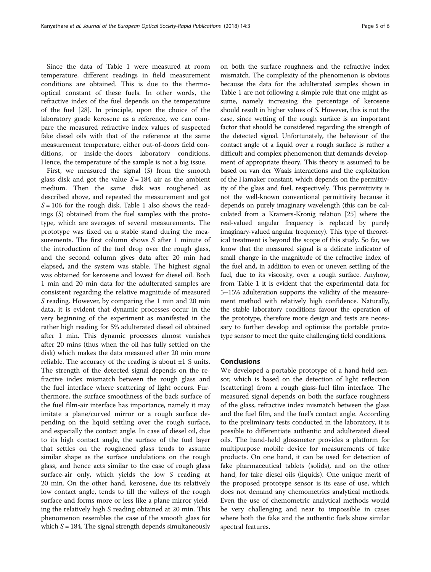Since the data of Table [1](#page-3-0) were measured at room temperature, different readings in field measurement conditions are obtained. This is due to the thermooptical constant of these fuels. In other words, the refractive index of the fuel depends on the temperature of the fuel [\[28](#page-5-0)]. In principle, upon the choice of the laboratory grade kerosene as a reference, we can compare the measured refractive index values of suspected fake diesel oils with that of the reference at the same measurement temperature, either out-of-doors field conditions, or inside-the-doors laboratory conditions. Hence, the temperature of the sample is not a big issue.

First, we measured the signal (S) from the smooth glass disk and got the value  $S = 184$  air as the ambient medium. Then the same disk was roughened as described above, and repeated the measurement and got  $S = 106$  $S = 106$  $S = 106$  for the rough disk. Table 1 also shows the readings (S) obtained from the fuel samples with the prototype, which are averages of several measurements. The prototype was fixed on a stable stand during the measurements. The first column shows S after 1 minute of the introduction of the fuel drop over the rough glass, and the second column gives data after 20 min had elapsed, and the system was stable. The highest signal was obtained for kerosene and lowest for diesel oil. Both 1 min and 20 min data for the adulterated samples are consistent regarding the relative magnitude of measured S reading. However, by comparing the 1 min and 20 min data, it is evident that dynamic processes occur in the very beginning of the experiment as manifested in the rather high reading for 5% adulterated diesel oil obtained after 1 min. This dynamic processes almost vanishes after 20 mins (thus when the oil has fully settled on the disk) which makes the data measured after 20 min more reliable. The accuracy of the reading is about  $\pm 1$  S units. The strength of the detected signal depends on the refractive index mismatch between the rough glass and the fuel interface where scattering of light occurs. Furthermore, the surface smoothness of the back surface of the fuel film-air interface has importance, namely it may imitate a plane/curved mirror or a rough surface depending on the liquid settling over the rough surface, and especially the contact angle. In case of diesel oil, due to its high contact angle, the surface of the fuel layer that settles on the roughened glass tends to assume similar shape as the surface undulations on the rough glass, and hence acts similar to the case of rough glass surface-air only, which yields the low S reading at 20 min. On the other hand, kerosene, due its relatively low contact angle, tends to fill the valleys of the rough surface and forms more or less like a plane mirror yielding the relatively high S reading obtained at 20 min. This phenomenon resembles the case of the smooth glass for which  $S = 184$ . The signal strength depends simultaneously on both the surface roughness and the refractive index mismatch. The complexity of the phenomenon is obvious because the data for the adulterated samples shown in Table [1](#page-3-0) are not following a simple rule that one might assume, namely increasing the percentage of kerosene should result in higher values of S. However, this is not the case, since wetting of the rough surface is an important factor that should be considered regarding the strength of the detected signal. Unfortunately, the behaviour of the contact angle of a liquid over a rough surface is rather a difficult and complex phenomenon that demands development of appropriate theory. This theory is assumed to be based on van der Waals interactions and the exploitation of the Hamaker constant, which depends on the permittivity of the glass and fuel, respectively. This permittivity is not the well-known conventional permittivity because it depends on purely imaginary wavelength (this can be calculated from a Kramers-Kronig relation [[25](#page-5-0)] where the real-valued angular frequency is replaced by purely imaginary-valued angular frequency). This type of theoretical treatment is beyond the scope of this study. So far, we know that the measured signal is a delicate indicator of small change in the magnitude of the refractive index of the fuel and, in addition to even or uneven settling of the fuel, due to its viscosity, over a rough surface. Anyhow, from Table [1](#page-3-0) it is evident that the experimental data for 5–15% adulteration supports the validity of the measurement method with relatively high confidence. Naturally, the stable laboratory conditions favour the operation of the prototype, therefore more design and tests are necessary to further develop and optimise the portable prototype sensor to meet the quite challenging field conditions.

#### Conclusions

We developed a portable prototype of a hand-held sensor, which is based on the detection of light reflection (scattering) from a rough glass-fuel film interface. The measured signal depends on both the surface roughness of the glass, refractive index mismatch between the glass and the fuel film, and the fuel's contact angle. According to the preliminary tests conducted in the laboratory, it is possible to differentiate authentic and adulterated diesel oils. The hand-held glossmeter provides a platform for multipurpose mobile device for measurements of fake products. On one hand, it can be used for detection of fake pharmaceutical tablets (solids), and on the other hand, for fake diesel oils (liquids). One unique merit of the proposed prototype sensor is its ease of use, which does not demand any chemometrics analytical methods. Even the use of chemometric analytical methods would be very challenging and near to impossible in cases where both the fake and the authentic fuels show similar spectral features.